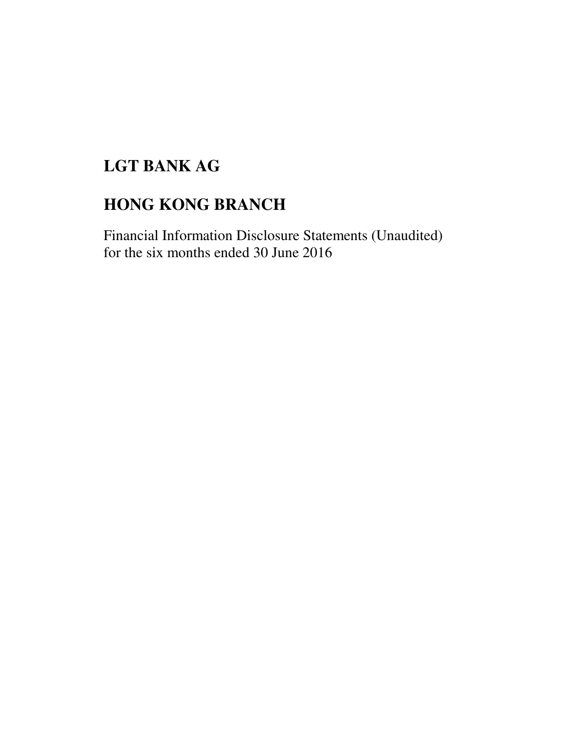# **LGT BANK AG**

# **HONG KONG BRANCH**

Financial Information Disclosure Statements (Unaudited) for the six months ended 30 June 2016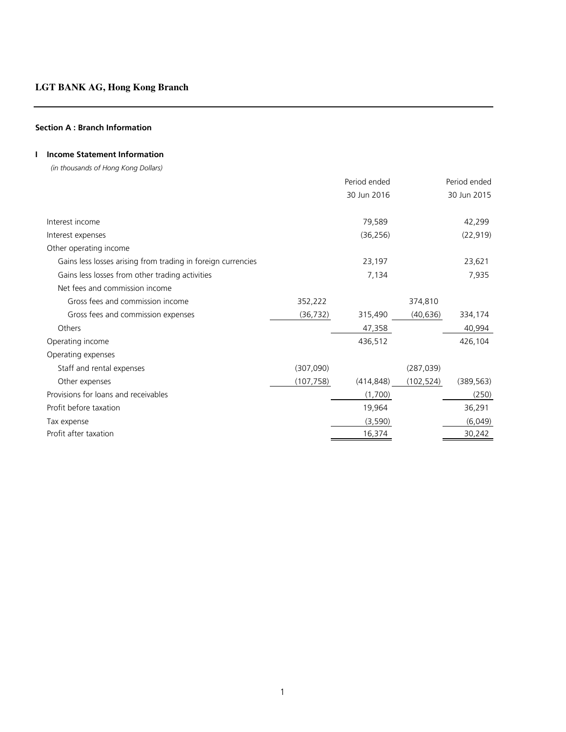### **Section A : Branch Information**

## **I Income Statement Information**

 *(in thousands of Hong Kong Dollars)*

|                                                              |            | Period ended |            | Period ended |
|--------------------------------------------------------------|------------|--------------|------------|--------------|
|                                                              |            | 30 Jun 2016  |            | 30 Jun 2015  |
| Interest income                                              |            | 79,589       |            | 42,299       |
| Interest expenses                                            |            | (36, 256)    |            | (22, 919)    |
| Other operating income                                       |            |              |            |              |
| Gains less losses arising from trading in foreign currencies |            | 23,197       |            | 23,621       |
| Gains less losses from other trading activities              |            | 7,134        |            | 7,935        |
| Net fees and commission income                               |            |              |            |              |
| Gross fees and commission income                             | 352,222    |              | 374,810    |              |
| Gross fees and commission expenses                           | (36, 732)  | 315,490      | (40, 636)  | 334,174      |
| Others                                                       |            | 47,358       |            | 40,994       |
| Operating income                                             |            | 436,512      |            | 426,104      |
| Operating expenses                                           |            |              |            |              |
| Staff and rental expenses                                    | (307,090)  |              | (287, 039) |              |
| Other expenses                                               | (107, 758) | (414, 848)   | (102, 524) | (389, 563)   |
| Provisions for loans and receivables                         |            | (1,700)      |            | (250)        |
| Profit before taxation                                       |            | 19,964       |            | 36,291       |
| Tax expense                                                  |            | (3,590)      |            | (6,049)      |
| Profit after taxation                                        |            | 16,374       |            | 30,242       |
|                                                              |            |              |            |              |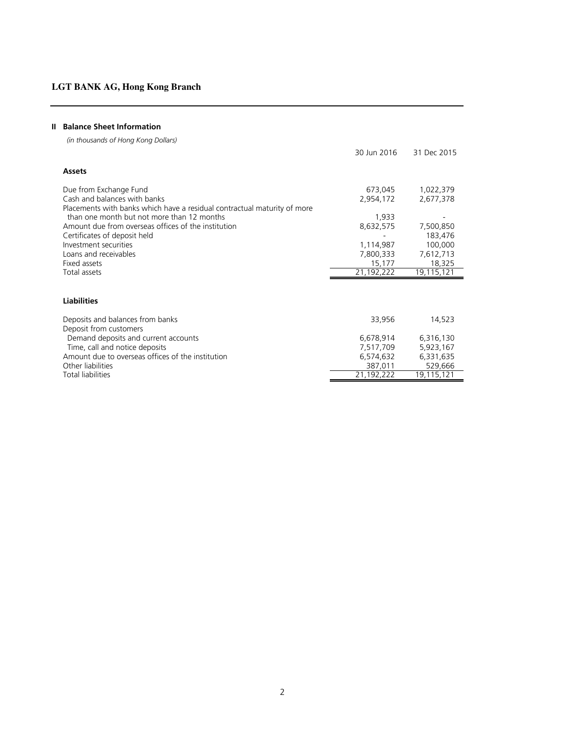### **II Balance Sheet Information**

 *(in thousands of Hong Kong Dollars)*

|                                                                          | 30 Jun 2016 | 31 Dec 2015 |
|--------------------------------------------------------------------------|-------------|-------------|
| Assets                                                                   |             |             |
| Due from Exchange Fund                                                   | 673,045     | 1,022,379   |
| Cash and balances with banks                                             | 2,954,172   | 2,677,378   |
| Placements with banks which have a residual contractual maturity of more |             |             |
| than one month but not more than 12 months                               | 1,933       |             |
| Amount due from overseas offices of the institution                      | 8,632,575   | 7,500,850   |
| Certificates of deposit held                                             |             | 183,476     |
| Investment securities                                                    | 1,114,987   | 100,000     |
| Loans and receivables                                                    | 7,800,333   | 7,612,713   |
| Fixed assets                                                             | 15,177      | 18,325      |
| Total assets                                                             | 21,192,222  | 19,115,121  |
|                                                                          |             |             |
| <b>Liabilities</b>                                                       |             |             |
| Deposits and balances from banks                                         | 33,956      | 14,523      |
| Deposit from customers                                                   |             |             |
| Demand deposits and current accounts                                     | 6,678,914   | 6,316,130   |
| Time, call and notice deposits                                           | 7,517,709   | 5,923,167   |
| Amount due to overseas offices of the institution                        | 6,574,632   | 6,331,635   |
| Other liabilities                                                        | 387,011     | 529,666     |
| <b>Total liabilities</b>                                                 | 21,192,222  | 19,115,121  |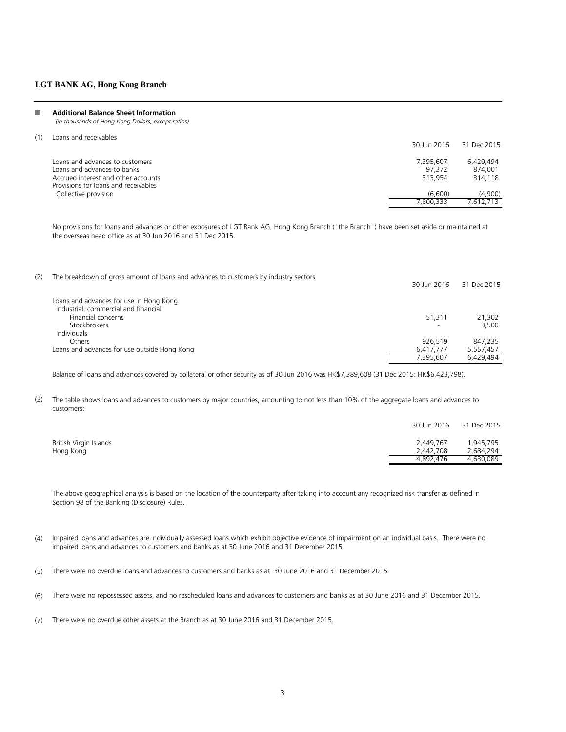#### **III Additional Balance Sheet Information**

 *(in thousands of Hong Kong Dollars, except ratios)*

| (1) |  | Loans and receivables |
|-----|--|-----------------------|
|     |  |                       |

|                                      | 30 Jun 2016 | 31 Dec 2015 |
|--------------------------------------|-------------|-------------|
| Loans and advances to customers      | 7.395.607   | 6.429.494   |
| Loans and advances to banks          | 97.372      | 874,001     |
| Accrued interest and other accounts  | 313.954     | 314,118     |
| Provisions for loans and receivables |             |             |
| Collective provision                 | (6.600)     | (4,900)     |
|                                      | 7.800.333   | 7.612.713   |

No provisions for loans and advances or other exposures of LGT Bank AG, Hong Kong Branch ("the Branch") have been set aside or maintained at the overseas head office as at 30 Jun 2016 and 31 Dec 2015.

| (2) | The breakdown of gross amount of loans and advances to customers by industry sectors | 30 Jun 2016              | 31 Dec 2015 |
|-----|--------------------------------------------------------------------------------------|--------------------------|-------------|
|     | Loans and advances for use in Hong Kong                                              |                          |             |
|     | Industrial, commercial and financial                                                 |                          |             |
|     | Financial concerns                                                                   | 51,311                   | 21,302      |
|     | Stockbrokers                                                                         | $\overline{\phantom{0}}$ | 3.500       |
|     | <b>Individuals</b>                                                                   |                          |             |
|     | Others                                                                               | 926.519                  | 847.235     |
|     | Loans and advances for use outside Hong Kong                                         | 6,417,777                | 5,557,457   |
|     |                                                                                      | 7.395.607                | 6.429.494   |

Balance of loans and advances covered by collateral or other security as of 30 Jun 2016 was HK\$7,389,608 (31 Dec 2015: HK\$6,423,798).

(3) The table shows loans and advances to customers by major countries, amounting to not less than 10% of the aggregate loans and advances to customers:

|                        |           | 30 Jun 2016 31 Dec 2015 |
|------------------------|-----------|-------------------------|
| British Virgin Islands | 2,449,767 | 1,945,795               |
| Hong Kong              | 2,442,708 | 2,684,294               |
|                        | 4,892,476 | 4,630,089               |

The above geographical analysis is based on the location of the counterparty after taking into account any recognized risk transfer as defined in Section 98 of the Banking (Disclosure) Rules.

- (4) Impaired loans and advances are individually assessed loans which exhibit objective evidence of impairment on an individual basis. There were no impaired loans and advances to customers and banks as at 30 June 2016 and 31 December 2015.
- (5) There were no overdue loans and advances to customers and banks as at 30 June 2016 and 31 December 2015.
- (6) There were no repossessed assets, and no rescheduled loans and advances to customers and banks as at 30 June 2016 and 31 December 2015.
- (7) There were no overdue other assets at the Branch as at 30 June 2016 and 31 December 2015.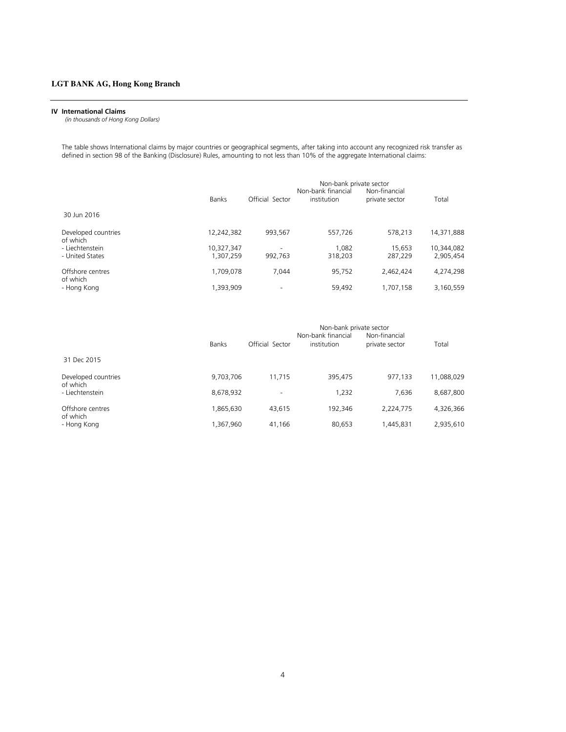#### **IV International Claims**

 *(in thousands of Hong Kong Dollars)*

The table shows International claims by major countries or geographical segments, after taking into account any recognized risk transfer as defined in section 98 of the Banking (Disclosure) Rules, amounting to not less than 10% of the aggregate International claims:

|                                 |              | Non-bank private sector<br>Non-bank financial<br>Non-financial |             |                |            |
|---------------------------------|--------------|----------------------------------------------------------------|-------------|----------------|------------|
|                                 | <b>Banks</b> | Official Sector                                                | institution | private sector | Total      |
| 30 Jun 2016                     |              |                                                                |             |                |            |
| Developed countries<br>of which | 12,242,382   | 993,567                                                        | 557,726     | 578.213        | 14,371,888 |
| - Liechtenstein                 | 10,327,347   | $\overline{\phantom{a}}$                                       | 1.082       | 15.653         | 10,344,082 |
| - United States                 | 1,307,259    | 992.763                                                        | 318,203     | 287.229        | 2,905,454  |
| Offshore centres<br>of which    | 1,709,078    | 7.044                                                          | 95,752      | 2,462,424      | 4,274,298  |
| - Hong Kong                     | 1,393,909    | $\overline{\phantom{a}}$                                       | 59.492      | 1,707,158      | 3,160,559  |

|                                 | Banks     | Official Sector | Non-bank private sector<br>Non-bank financial<br>institution | Non-financial<br>private sector | Total      |
|---------------------------------|-----------|-----------------|--------------------------------------------------------------|---------------------------------|------------|
| 31 Dec 2015                     |           |                 |                                                              |                                 |            |
| Developed countries<br>of which | 9,703,706 | 11.715          | 395,475                                                      | 977.133                         | 11,088,029 |
| - Liechtenstein                 | 8,678,932 | ۰               | 1.232                                                        | 7.636                           | 8,687,800  |
| Offshore centres                | 1,865,630 | 43.615          | 192.346                                                      | 2.224.775                       | 4,326,366  |
| of which<br>- Hong Kong         | 1,367,960 | 41,166          | 80,653                                                       | 1,445,831                       | 2,935,610  |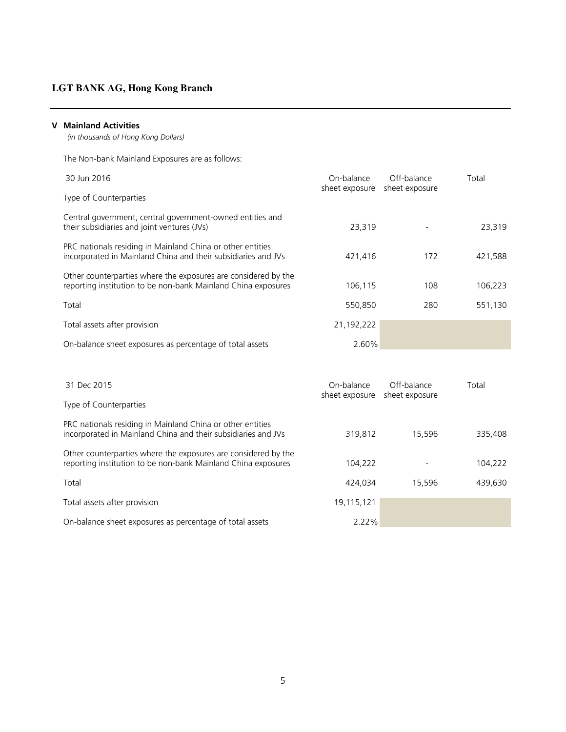### **V Mainland Activities**

 *(in thousands of Hong Kong Dollars)*

The Non-bank Mainland Exposures are as follows:

| 30 Jun 2016                                                                                                                     | On-balance<br>sheet exposure | Off-balance<br>sheet exposure | Total   |
|---------------------------------------------------------------------------------------------------------------------------------|------------------------------|-------------------------------|---------|
| Type of Counterparties                                                                                                          |                              |                               |         |
| Central government, central government-owned entities and<br>their subsidiaries and joint ventures (JVs)                        | 23.319                       |                               | 23,319  |
| PRC nationals residing in Mainland China or other entities<br>incorporated in Mainland China and their subsidiaries and JVs     | 421,416                      | 172                           | 421,588 |
| Other counterparties where the exposures are considered by the<br>reporting institution to be non-bank Mainland China exposures | 106.115                      | 108                           | 106.223 |
| Total                                                                                                                           | 550.850                      | 280                           | 551,130 |
| Total assets after provision                                                                                                    | 21,192,222                   |                               |         |
| On-balance sheet exposures as percentage of total assets                                                                        | 2.60%                        |                               |         |

| 31 Dec 2015                                                                                                                     | On-balance<br>sheet exposure | Off-balance<br>sheet exposure | Total   |
|---------------------------------------------------------------------------------------------------------------------------------|------------------------------|-------------------------------|---------|
| Type of Counterparties                                                                                                          |                              |                               |         |
| PRC nationals residing in Mainland China or other entities<br>incorporated in Mainland China and their subsidiaries and JVs     | 319,812                      | 15.596                        | 335,408 |
| Other counterparties where the exposures are considered by the<br>reporting institution to be non-bank Mainland China exposures | 104.222                      |                               | 104,222 |
| Total                                                                                                                           | 424.034                      | 15.596                        | 439,630 |
| Total assets after provision                                                                                                    | 19,115,121                   |                               |         |
| On-balance sheet exposures as percentage of total assets                                                                        | 2.22%                        |                               |         |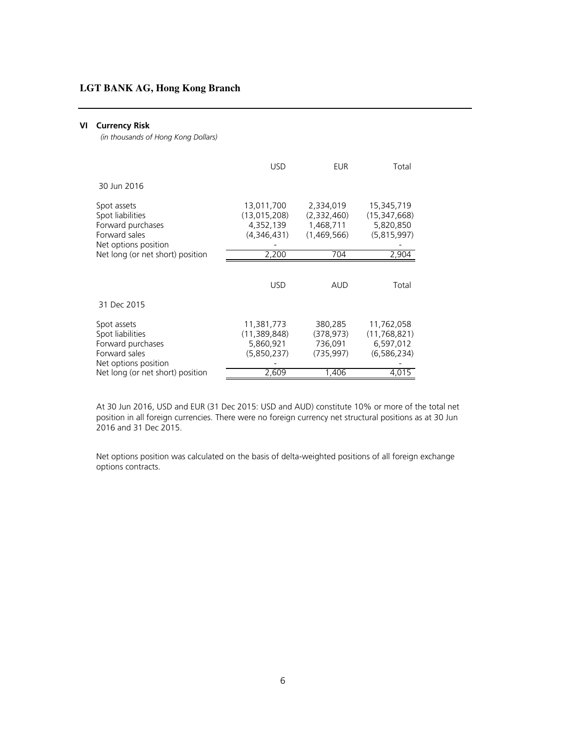#### **VI Currency Risk**

 *(in thousands of Hong Kong Dollars)*

|                                                                                               | <b>USD</b>                                               | EUR                                                  | Total                                                      |
|-----------------------------------------------------------------------------------------------|----------------------------------------------------------|------------------------------------------------------|------------------------------------------------------------|
| 30 Jun 2016                                                                                   |                                                          |                                                      |                                                            |
| Spot assets<br>Spot liabilities<br>Forward purchases<br>Forward sales<br>Net options position | 13,011,700<br>(13,015,208)<br>4,352,139<br>(4,346,431)   | 2,334,019<br>(2,332,460)<br>1,468,711<br>(1,469,566) | 15,345,719<br>(15, 347, 668)<br>5,820,850<br>(5,815,997)   |
| Net long (or net short) position                                                              | 2,200                                                    | 704                                                  | 2,904                                                      |
|                                                                                               | <b>USD</b>                                               | AUD                                                  | Total                                                      |
| 31 Dec 2015                                                                                   |                                                          |                                                      |                                                            |
| Spot assets<br>Spot liabilities<br>Forward purchases<br>Forward sales<br>Net options position | 11,381,773<br>(11, 389, 848)<br>5,860,921<br>(5,850,237) | 380,285<br>(378, 973)<br>736,091<br>(735, 997)       | 11,762,058<br>(11, 768, 821)<br>6,597,012<br>(6, 586, 234) |
| Net long (or net short) position                                                              | 2,609                                                    | 1,406                                                | 4.015                                                      |

At 30 Jun 2016, USD and EUR (31 Dec 2015: USD and AUD) constitute 10% or more of the total net position in all foreign currencies. There were no foreign currency net structural positions as at 30 Jun 2016 and 31 Dec 2015.

Net options position was calculated on the basis of delta-weighted positions of all foreign exchange options contracts.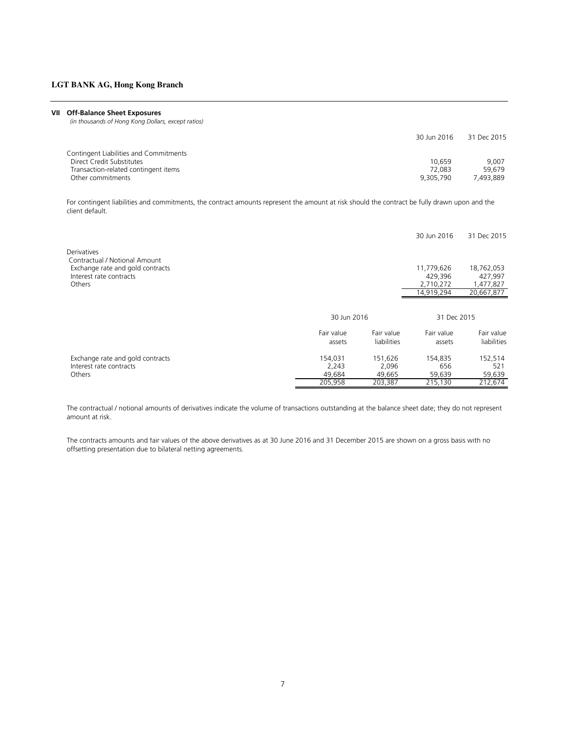#### **VII Off-Balance Sheet Exposures**

 *(in thousands of Hong Kong Dollars, except ratios)*

|                                        | 30 Jun 2016 | 31 Dec 2015 |
|----------------------------------------|-------------|-------------|
| Contingent Liabilities and Commitments |             |             |
| Direct Credit Substitutes              | 10.659      | 9.007       |
| Transaction-related contingent items   | 72.083      | 59.679      |
| Other commitments                      | 9.305.790   | 493.889     |

For contingent liabilities and commitments, the contract amounts represent the amount at risk should the contract be fully drawn upon and the client default.

|                                              |            |             | 30 Jun 2016 | 31 Dec 2015 |  |
|----------------------------------------------|------------|-------------|-------------|-------------|--|
| Derivatives<br>Contractual / Notional Amount |            |             |             |             |  |
| Exchange rate and gold contracts             |            |             | 11,779,626  | 18,762,053  |  |
| Interest rate contracts                      |            |             | 429,396     | 427,997     |  |
| Others                                       |            |             | 2,710,272   | 1,477,827   |  |
|                                              |            |             | 14,919,294  | 20,667,877  |  |
|                                              |            |             |             |             |  |
|                                              |            | 30 Jun 2016 |             | 31 Dec 2015 |  |
|                                              | Fair value | Fair value  | Fair value  | Fair value  |  |
|                                              | assets     | liabilities | assets      | liabilities |  |
| Exchange rate and gold contracts             | 154,031    | 151,626     | 154,835     | 152,514     |  |
| Interest rate contracts                      | 2.243      | 2.096       | 656         | 521         |  |
| Others                                       | 49,684     | 49,665      | 59,639      | 59,639      |  |
|                                              | 205,958    | 203,387     | 215,130     | 212,674     |  |

The contractual / notional amounts of derivatives indicate the volume of transactions outstanding at the balance sheet date; they do not represent amount at risk.

The contracts amounts and fair values of the above derivatives as at 30 June 2016 and 31 December 2015 are shown on a gross basis with no offsetting presentation due to bilateral netting agreements.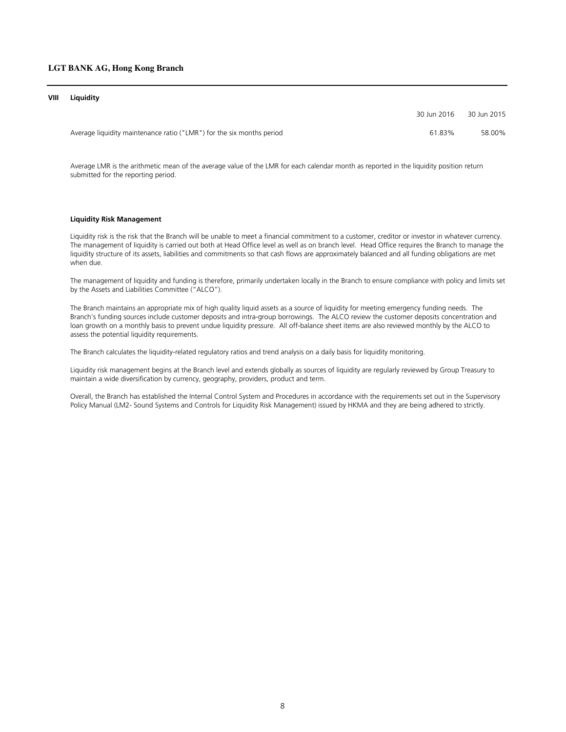#### **VIII Liquidity**

|                                                                       | 30 Jun 2016 | 30 Jun 2015 |
|-----------------------------------------------------------------------|-------------|-------------|
| Average liquidity maintenance ratio ("LMR") for the six months period | 6183%       | 58.00%      |

Average LMR is the arithmetic mean of the average value of the LMR for each calendar month as reported in the liquidity position return submitted for the reporting period.

#### **Liquidity Risk Management**

Liquidity risk is the risk that the Branch will be unable to meet a financial commitment to a customer, creditor or investor in whatever currency. The management of liquidity is carried out both at Head Office level as well as on branch level. Head Office requires the Branch to manage the liquidity structure of its assets, liabilities and commitments so that cash flows are approximately balanced and all funding obligations are met when due.

The management of liquidity and funding is therefore, primarily undertaken locally in the Branch to ensure compliance with policy and limits set by the Assets and Liabilities Committee ("ALCO").

The Branch maintains an appropriate mix of high quality liquid assets as a source of liquidity for meeting emergency funding needs. The Branch's funding sources include customer deposits and intra-group borrowings. The ALCO review the customer deposits concentration and loan growth on a monthly basis to prevent undue liquidity pressure. All off-balance sheet items are also reviewed monthly by the ALCO to assess the potential liquidity requirements.

The Branch calculates the liquidity-related regulatory ratios and trend analysis on a daily basis for liquidity monitoring.

Liquidity risk management begins at the Branch level and extends globally as sources of liquidity are regularly reviewed by Group Treasury to maintain a wide diversification by currency, geography, providers, product and term.

Overall, the Branch has established the Internal Control System and Procedures in accordance with the requirements set out in the Supervisory Policy Manual (LM2- Sound Systems and Controls for Liquidity Risk Management) issued by HKMA and they are being adhered to strictly.